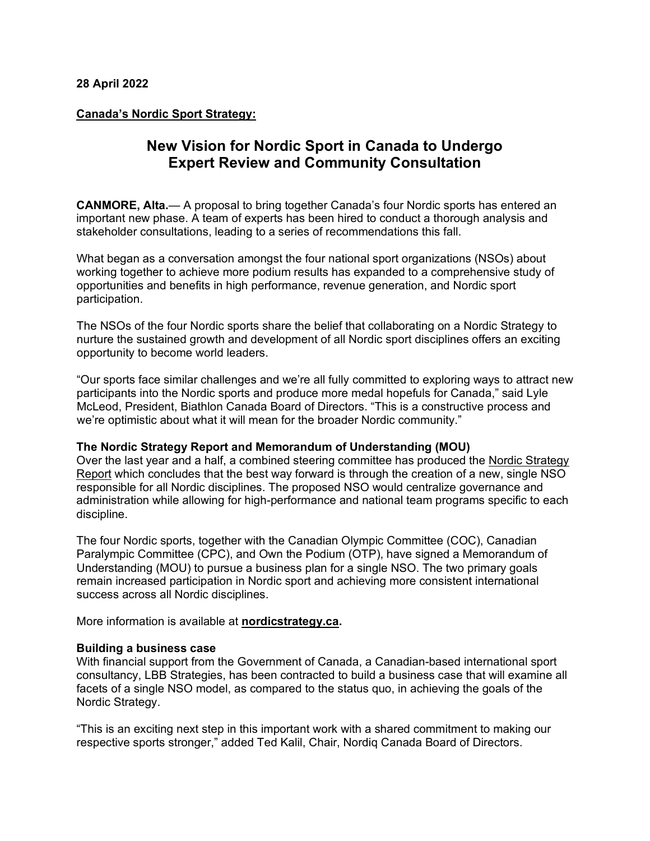## **Canada's Nordic Sport Strategy:**

## **New Vision for Nordic Sport in Canada to Undergo Expert Review and Community Consultation**

**CANMORE, Alta.**— A proposal to bring together Canada's four Nordic sports has entered an important new phase. A team of experts has been hired to conduct a thorough analysis and stakeholder consultations, leading to a series of recommendations this fall.

What began as a conversation amongst the four national sport organizations (NSOs) about working together to achieve more podium results has expanded to a comprehensive study of opportunities and benefits in high performance, revenue generation, and Nordic sport participation.

The NSOs of the four Nordic sports share the belief that collaborating on a Nordic Strategy to nurture the sustained growth and development of all Nordic sport disciplines offers an exciting opportunity to become world leaders.

"Our sports face similar challenges and we're all fully committed to exploring ways to attract new participants into the Nordic sports and produce more medal hopefuls for Canada," said Lyle McLeod, President, Biathlon Canada Board of Directors. "This is a constructive process and we're optimistic about what it will mean for the broader Nordic community."

## **The Nordic Strategy Report and Memorandum of Understanding (MOU)**

Over the last year and a half, a combined steering committee has produced the Nordic [Strategy](http://www.nordicstrategy.ca/uploads/2/9/0/5/29058833/07-21-21_nordic_strategy_report.pdf) [Report](http://www.nordicstrategy.ca/uploads/2/9/0/5/29058833/07-21-21_nordic_strategy_report.pdf) which concludes that the best way forward is through the creation of a new, single NSO responsible for all Nordic disciplines. The proposed NSO would centralize governance and administration while allowing for high-performance and national team programs specific to each discipline.

The four Nordic sports, together with the Canadian Olympic Committee (COC), Canadian Paralympic Committee (CPC), and Own the Podium (OTP), have signed a Memorandum of Understanding (MOU) to pursue a business plan for a single NSO. The two primary goals remain increased participation in Nordic sport and achieving more consistent international success across all Nordic disciplines.

More information is available at **[nordicstrategy.ca.](http://www.nordicstrategy.ca/)**

## **Building a business case**

With financial support from the Government of Canada, a Canadian-based international sport consultancy, LBB Strategies, has been contracted to build a business case that will examine all facets of a single NSO model, as compared to the status quo, in achieving the goals of the Nordic Strategy.

"This is an exciting next step in this important work with a shared commitment to making our respective sports stronger," added Ted Kalil, Chair, Nordiq Canada Board of Directors.